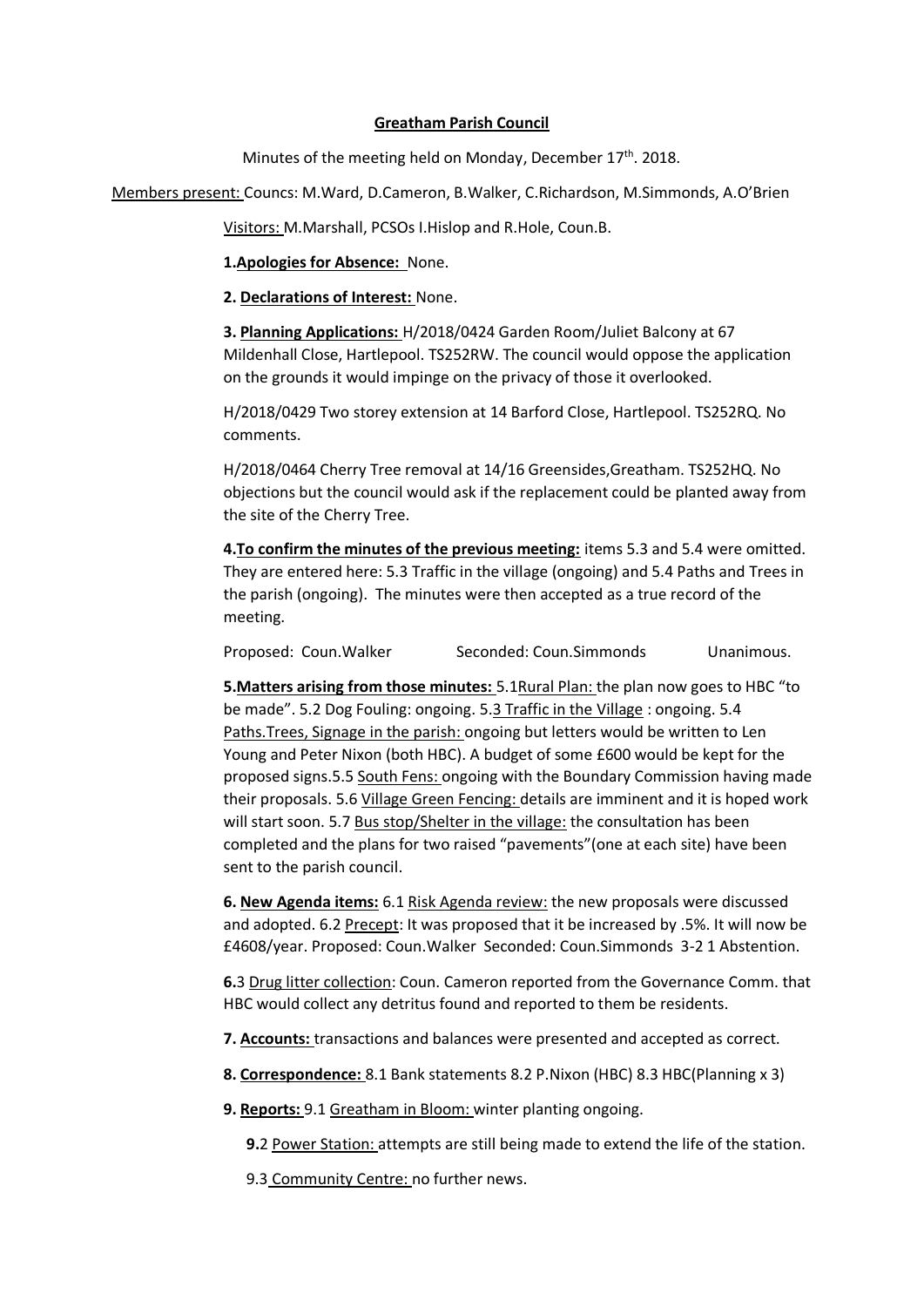## **Greatham Parish Council**

Minutes of the meeting held on Monday, December 17<sup>th</sup>. 2018.

Members present: Councs: M.Ward, D.Cameron, B.Walker, C.Richardson, M.Simmonds, A.O'Brien

Visitors: M.Marshall, PCSOs I.Hislop and R.Hole, Coun.B.

**1.Apologies for Absence:** None.

**2. Declarations of Interest:** None.

**3. Planning Applications:** H/2018/0424 Garden Room/Juliet Balcony at 67 Mildenhall Close, Hartlepool. TS252RW. The council would oppose the application on the grounds it would impinge on the privacy of those it overlooked.

H/2018/0429 Two storey extension at 14 Barford Close, Hartlepool. TS252RQ. No comments.

H/2018/0464 Cherry Tree removal at 14/16 Greensides,Greatham. TS252HQ. No objections but the council would ask if the replacement could be planted away from the site of the Cherry Tree.

**4.To confirm the minutes of the previous meeting:** items 5.3 and 5.4 were omitted. They are entered here: 5.3 Traffic in the village (ongoing) and 5.4 Paths and Trees in the parish (ongoing). The minutes were then accepted as a true record of the meeting.

Proposed: Coun.Walker Seconded: Coun.Simmonds Unanimous.

**5.Matters arising from those minutes:** 5.1Rural Plan: the plan now goes to HBC "to be made". 5.2 Dog Fouling: ongoing. 5.3 Traffic in the Village : ongoing. 5.4 Paths.Trees, Signage in the parish: ongoing but letters would be written to Len Young and Peter Nixon (both HBC). A budget of some £600 would be kept for the proposed signs.5.5 South Fens: ongoing with the Boundary Commission having made their proposals. 5.6 Village Green Fencing: details are imminent and it is hoped work will start soon. 5.7 Bus stop/Shelter in the village: the consultation has been completed and the plans for two raised "pavements"(one at each site) have been sent to the parish council.

**6. New Agenda items:** 6.1 Risk Agenda review: the new proposals were discussed and adopted. 6.2 Precept: It was proposed that it be increased by .5%. It will now be £4608/year. Proposed: Coun.Walker Seconded: Coun.Simmonds 3-2 1 Abstention.

**6.**3 Drug litter collection: Coun. Cameron reported from the Governance Comm. that HBC would collect any detritus found and reported to them be residents.

**7. Accounts:** transactions and balances were presented and accepted as correct.

**8. Correspondence:** 8.1 Bank statements 8.2 P.Nixon (HBC) 8.3 HBC(Planning x 3)

**9. Reports:** 9.1 Greatham in Bloom: winter planting ongoing.

 **9.**2 Power Station: attempts are still being made to extend the life of the station.

9.3 Community Centre: no further news.